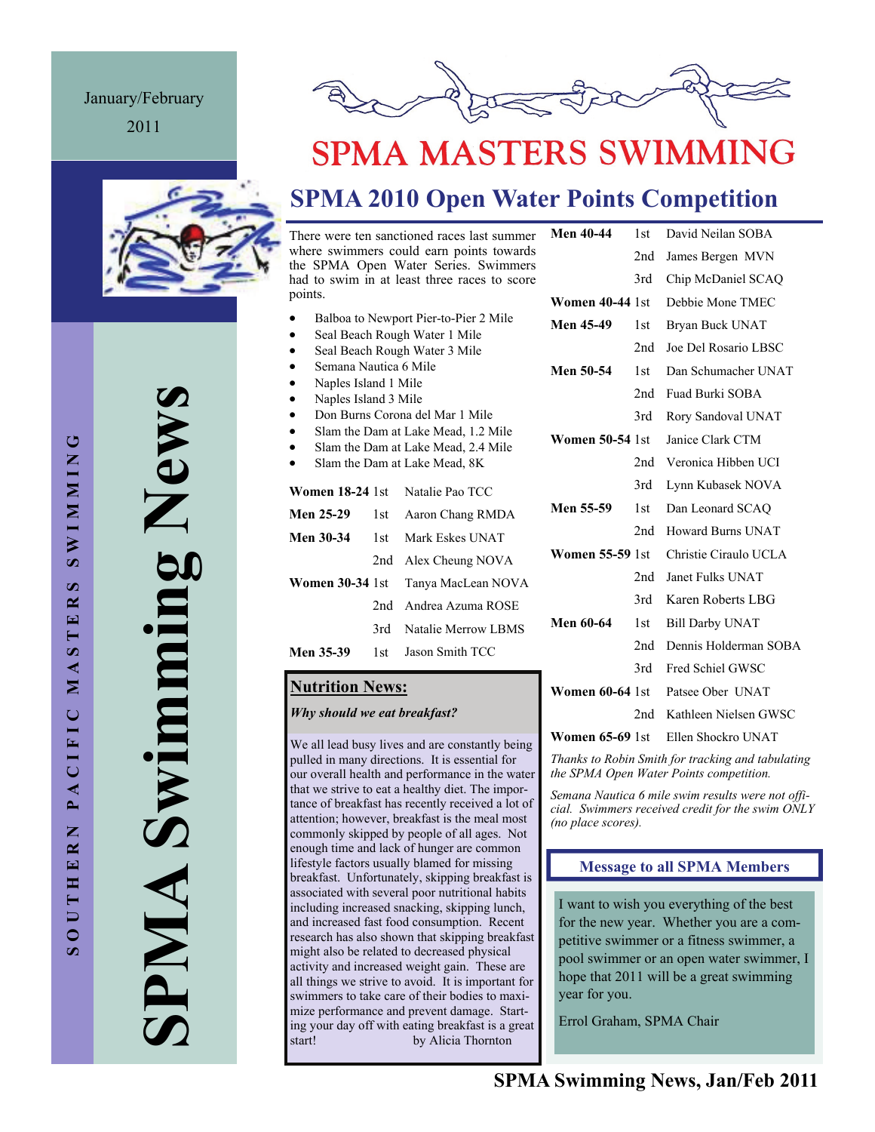## January/February

2011





# **SPMA MASTERS SWIMMING**

# **SPMA 2010 Open Water Points Competition**

There were ten sanctioned races last summer where swimmers could earn points towards the SPMA Open Water Series. Swimmers had to swim in at least three races to score points.

- Balboa to Newport Pier-to-Pier 2 Mile
- Seal Beach Rough Water 1 Mile
- Seal Beach Rough Water 3 Mile
- Semana Nautica 6 Mile
- Naples Island 1 Mile
- Naples Island 3 Mile
- Don Burns Corona del Mar 1 Mile
- Slam the Dam at Lake Mead, 1.2 Mile
- Slam the Dam at Lake Mead, 2.4 Mile Slam the Dam at Lake Mead, 8K
- **Women 18-24** 1st Natalie Pao TCC **Men 25-29** 1st Aaron Chang RMDA **Men 30-34** 1st Mark Eskes UNAT
- 2nd Alex Cheung NOVA **Women 30-34** 1st Tanya MacLean NOVA 2nd Andrea Azuma ROSE 3rd Natalie Merrow LBMS **Men 35-39** 1st Jason Smith TCC

### **Nutrition News:**

### *Why should we eat breakfast?*

We all lead busy lives and are constantly being pulled in many directions. It is essential for our overall health and performance in the water that we strive to eat a healthy diet. The importance of breakfast has recently received a lot of attention; however, breakfast is the meal most commonly skipped by people of all ages. Not enough time and lack of hunger are common lifestyle factors usually blamed for missing breakfast. Unfortunately, skipping breakfast is associated with several poor nutritional habits including increased snacking, skipping lunch, and increased fast food consumption. Recent research has also shown that skipping breakfast might also be related to decreased physical activity and increased weight gain. These are all things we strive to avoid. It is important for swimmers to take care of their bodies to maximize performance and prevent damage. Starting your day off with eating breakfast is a great start! by Alicia Thornton

| <b>Men 40-44</b>       | 1st | David Neilan SOBA                                                                              |  |  |
|------------------------|-----|------------------------------------------------------------------------------------------------|--|--|
|                        | 2nd | James Bergen MVN                                                                               |  |  |
|                        | 3rd | Chip McDaniel SCAQ                                                                             |  |  |
| <b>Women 40-44 1st</b> |     | Debbie Mone TMEC                                                                               |  |  |
| <b>Men 45-49</b>       | 1st | Bryan Buck UNAT                                                                                |  |  |
|                        | 2nd | Joe Del Rosario LBSC                                                                           |  |  |
| Men 50-54              | 1st | Dan Schumacher UNAT                                                                            |  |  |
|                        | 2nd | Fuad Burki SOBA                                                                                |  |  |
|                        | 3rd | Rory Sandoval UNAT                                                                             |  |  |
| <b>Women 50-54</b> 1st |     | Janice Clark CTM                                                                               |  |  |
|                        | 2nd | Veronica Hibben UCI                                                                            |  |  |
|                        | 3rd | Lynn Kubasek NOVA                                                                              |  |  |
| Men 55-59              | 1st | Dan Leonard SCAO                                                                               |  |  |
|                        | 2nd | Howard Burns UNAT                                                                              |  |  |
| <b>Women 55-59 1st</b> |     | Christie Ciraulo UCLA                                                                          |  |  |
|                        | 2nd | Janet Fulks UNAT                                                                               |  |  |
|                        | 3rd | Karen Roberts LBG                                                                              |  |  |
| <b>Men 60-64</b>       | 1st | <b>Bill Darby UNAT</b>                                                                         |  |  |
|                        | 2nd | Dennis Holderman SOBA                                                                          |  |  |
|                        | 3rd | Fred Schiel GWSC                                                                               |  |  |
| <b>Women 60-64 1st</b> |     | Patsee Ober UNAT                                                                               |  |  |
|                        | 2nd | Kathleen Nielsen GWSC                                                                          |  |  |
| $\mathbf{W}$           |     | $\angle$ C $\angle$ C $\triangle$ 1 at $\angle$ Ellen C $\angle$ and $\angle$ I D $\angle$ A T |  |  |

**Women 65-69** 1st Ellen Shockro UNAT

*Thanks to Robin Smith for tracking and tabulating the SPMA Open Water Points competition.* 

*Semana Nautica 6 mile swim results were not official. Swimmers received credit for the swim ONLY (no place scores).* 

### **Message to all SPMA Members**

I want to wish you everything of the best for the new year. Whether you are a competitive swimmer or a fitness swimmer, a pool swimmer or an open water swimmer, I hope that 2011 will be a great swimming year for you.

Errol Graham, SPMA Chair

**SPMA Swimming News**  New Swimming AIMP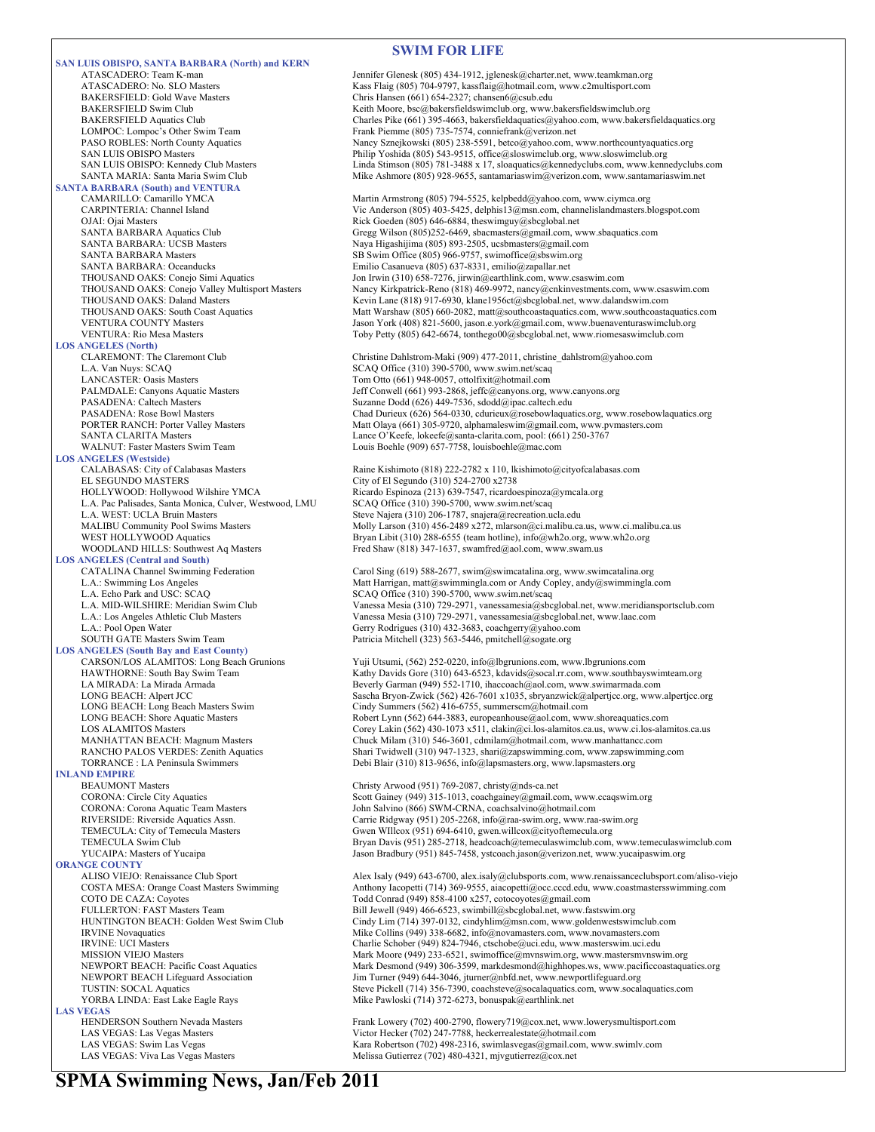**SAN LUIS OBISPO, SANTA BARBARA (North) and KERN** BAKERSFIELD: Gold Wave Masters **Chris Hansen (661) 654-2327; chansen6@csub.edu**<br>BAKERSFIELD Swim Club Club Chris Hansen Corp. Ceith Moore bsc@bakersfieldswimclub org. www LOMPOC: Lompoc's Other Swim Team Frank Piemme (805) 735-7574, conniefrank @verizon.net<br>PASO ROBLES: North County Aquatics Frank Piemme (805) 738-5591, betco@yahoo.com, v **SANTA BARBARA (South) and VENTURA**  OJAI: Ojai Masters **Rick Goeden (805) 646-6884**, theswimguy@sbcglobal.net<br>
SANTA BARBARA Aquatics Club **Community Gregg Wilson (805)252-6469**, sbacmasters@gmail.com, w SANTA BARBARA: UCSB Masters Naya Higashijima (805) 893-2505, ucsbmasters@gmail.com SANTA BARBARA Masters SB Swim Office (805) 966-9757, swimoffice@sbswim.org SANTA BARBARA: Oceanducks Emilio Casanueva (805) 637-8331, emilio@zapallar.net **LOS ANGELES (North)**  L.A. Van Nuys: SCAQ Office (310) 390-5700, www.swim.net/scaq<br>
LANCASTER: Oasis Masters Tom Otto (661) 948-0057, ottolfixit@hotmail.com PASADENA: Caltech Masters Suzanne Dodd (626) 449-7536, sdodd@ipac.caltech.edu SANTA CLARITA Masters Lance O'Keefe, lokeefe@santa-clarita.com, pool: (661) 250-3767 WALNUT: Faster Masters Swim Team Louis Boehle (909) 657-7758, louisboehle@mac.com **LOS ANGELES (Westside)** EL SEGUNDO MASTERS City of El Segundo (310) 524-2700 x2738 HOLLYWOOD: Hollywood Wilshire YMCA Ricardo Espinoza (213) 639-7547, ricardoespinoza@ymcala.org L.A. Pac Palisades, Santa Monica, Culver, Westwood, LMU SCAQ Office (310) 390-5700, www.swim.net/scaq L.A. WEST: UCLA Bruin Masters Steve Najera (310) 206-1787, snajera@recreation.ucla.edu<br>MALIBU Community Pool Swims Masters Molly Larson (310) 456-2489 x272. mlarson@ci.malibu.ca **LOS ANGELES (Central and South)**  L.A.: Pool Open Water Gerry Rodrigues (310) 432-3683, coachgerry@yahoo.com<br>
SOUTH GATE Masters Swim Team Patricia Mitchell (323) 563-5446, pmitchell@sogate.org **LOS ANGELES (South Bay and East County)**  LONG BEACH: Long Beach Masters Swim Cindy Summers (562) 416-6755, summerscm@hotmail.com<br>
LONG BEACH: Shore Aquatic Masters Companies (562) 644-3883, europeanhouse@aol.com, www **INLAND EMPIRE**  BEAUMONT Masters CORONA: Circle City Aquatics CORONA: Circle City Aquatics CORONA: Circle City Aquatics CORONA: Circle City Aquatics CORONA: Circle City Aquatics Coronaves Coronaves Coronaves Coronaves Coronaves Coronaves CORONA: Corona Aquatic Team Masters John Salvino (866) SWM-CRNA, coachsalvino@hotmail.com **ORANGE COUNTY**<br>ALISO VIEJO: Renaissance Club Sport COTO DE CAZA: Coyotes<br>
FULLERTON: FAST Masters Team
FULLERTON: FAST Masters Team
FULLERTON: FAST Masters Team
FULLERTON: FAST Masters Team
FULLERTON: FAST Masters Team
FULLERTON: FAST Masters Team
FULLERTON: FAST Masters T **LAS VEGAS**<br> **HENDERSON Southern Nevada Masters** 

#### **SWIM FOR LIFE**

ATASCADERO: Team K-man Jennifer Glenesk (805) 434-1912, jglenesk @charter.net, www.teamkman.org<br>ATASCADERO: No. SLO Masters **Firman** Kass Flaig (805) 704-9797, kassflaig@hotmail.com, www.c2multisport.com ATASCADERO: No. SLO Masters **Kass Flaig (805) 704-9797**, kassflaig@hotmail.com, www.c2multisport.com<br>BAKERSFIELD: Gold Wave Masters **Kass Flaig (805) 704-9797**, kassflaig@hotmail.com, www.c2multisport.com BAKERSFIELD Swim Club (Europa Meeth Moore, bsc@bakersfieldswimclub.org, www.bakersfieldswimclub.org<br>BAKERSFIELD Aquatics Club (Barles Pike (661) 395-4663, bakersfieldaquatics@yahoo.com, www.bakers BAKERSFIELD Aquatics Club Charles Pike (661) 395-4663, bakersfieldaquatics@yahoo.com, www.bakersfieldaquatics.org<br>
LOMPOC: Lompoc's Other Swim Team Frank Piemme (805) 735-7574, conniefrank@verizon.net Nancy Sznejkowski (805) 238-5591, betco@yahoo.com, www.northcountyaquatics.org SAN LUIS OBISPO Masters **Philip Yoshida (805) 543-9515**, office@sloswimclub.org, www.sloswimclub.org<br>SAN LUIS OBISPO: Kennedy Club Masters **Philip Yoshida (805) 781-3488 x 17, sloaquatics@kennedyclubs.com**, www.kenn Linda Stimson (805) 781-3488 x 17, sloaquatics@kennedyclubs.com, www.kennedyclubs.com SANTA MARIA: Santa Maria Swim Club Mike Ashmore (805) 928-9655, santamariaswim@verizon.com, www.santamariaswim.net CAMARILLO: Camarillo YMCA Martin Armstrong (805) 794-5525, kelpbedd@yahoo.com, www.ciymca.org<br>CARPINTERIA: Channel Island Vic Anderson (805) 403-5425, delphis13@msn.com, channelislandmasters.b Vic Anderson (805) 403-5425, delphis13@msn.com, channelislandmasters.blogspot.com Gregg Wilson (805)252-6469, sbacmasters@gmail.com, www.sbaquatics.com THOUSAND OAKS: Conejo Simi Aquatics Jon Irwin (310) 658-7276, jirwin@earthlink.com, www.csaswim.com<br>THOUSAND OAKS: Conejo Valley Multisport Masters Nancy Kirkpatrick-Reno (818) 469-9972, nancy@cnkinvestments.com Nancy Kirkpatrick-Reno (818) 469-9972, nancy@cnkinvestments.com, www.csaswim.com THOUSAND OAKS: Daland Masters Kevin Lane (818) 917-6930, klane1956ct@sbcglobal.net, www.dalandswim.com<br>THOUSAND OAKS: South Coast Aquatics Matt Warshaw (805) 660-2082, matt@southcoastaquatics.com, www.southcoasta Matt Warshaw (805) 660-2082, matt@southcoastaquatics.com, www.southcoastaquatics.com VENTURA COUNTY Masters Jason York (408) 821-5600, jason.e.york@gmail.com, www.buenaventuraswimclub.org VENTURA: Rio Mesa Masters Toby Petty (805) 642-6674, tonthego00@sbcglobal.net, www.riomesaswimclub.com Christine Dahlstrom-Maki (909) 477-2011, christine\_dahlstrom@yahoo.com Tom Otto (661) 948-0057, ottolfixit@hotmail.com PALMDALE: Canyons Aquatic Masters Jeff Conwell (661) 993-2868, jeffc@canyons.org, www.canyons.org PASADENA: Rose Bowl Masters Chad Durieux (626) 564-0330, cdurieux@rosebowlaquatics.org, www.rosebowlaquatics.org PORTER RANCH: Porter Valley Masters Matt Olaya (661) 305-9720, alphamaleswim@gmail.com, www.pvmasters.com Raine Kishimoto (818) 222-2782 x 110, lkishimoto@cityofcalabasas.com MALIBU Community Pool Swims Masters Molly Larson (310) 456-2489 x272, mlarson (2011) and Mass WEST HOLLYWOOD Aquatics Music and Bryan Libit (310) 288-6555 (team hotline), info (a) who cong, www.wh 20.org WEST HOLLYWOOD Aquatics<br>
WEST HOLLYWOOD Aquatics Bryan Libit (310) 288-6555 (team hotline), info@wh2o.org, www.wh2o.org<br>
Fred Shaw (818) 347-1637, swamfred@aol.com, www.swam.us Fred Shaw (818) 347-1637, swamfred@aol.com, www.swam.us Carol Sing (619) 588-2677, swim@swimcatalina.org, www.swimcatalina.org L.A.: Swimming Los Angeles (and Angeles Matt Harrigan, matt@swimmingla.com or Andy Copley, andy@swimmingla.com<br>L.A. Echo Park and USC: SCAQ (and Angeles CAQ Office (310) 390-5700, www.swim.net/scaq L.A. MID-WILSHIRE: Meridian Swim Club Vanessa Mesia (310) 729-2971, vanessamesia@sbcglobal.net, www.meridiansportsclub.com L.A.: Los Angeles Athletic Club Masters Vanessa Mesia (310) 729-2971, vanessamesia@sbcglobal.net, www.laac.com Patricia Mitchell (323) 563-5446, pmitchell@sogate.org CARSON/LOS ALAMITOS: Long Beach Grunions Yuji Utsumi, (562) 252-0220, info@lbgrunions.com, www.lbgrunions.com HAWTHORNE: South Bay Swim Team Kathy Davids Gore (310) 643-6523, kdavids@socal.rr.com, www.southbayswimteam.org<br>
LA MIRADA: La Mirada Armada<br>
Reverly Garman (949) 552-1710 ihaccoach@aol com www.swimarmada.com Rathy Barries Creek (2007) 312 La Mirada Armada Com, www.swimarmada.com LONG BEACH: Alpert JCC Sascha Bryon-Zwick (562) 426-7601 x1035, sbryanzwick@alpertjcc.org, www.alpertjcc.org<br>LONG BEACH: Long Beach Masters Swim Cindy Summers (562) 416-6755, summersem@hotmail.com Robert Lynn (562) 644-3883, europeanhouse@aol.com, www.shoreaquatics.com LOS ALAMITOS Masters Corey Lakin (562) 430-1073 x511, clakin occilos-alamitos.ca.us, www.ci.los-alamitos.ca.us<br>
MANHATTAN BEACH: Magnum Masters Chuck Milam (310) 546-3601. cdmilam@hotmail.com. www.manhattance.com Chuck Milam (310) 546-3601, cdmilam@hotmail.com, www.manhattancc.com RANCHO PALOS VERDES: Zenith Aquatics Shari Twidwell (310) 947-1323, shari@zapswimming.com, www.zapswimming.com<br>TORRANCE : LA Peninsula Swimmers Shari Shari (310) 813-9656, info@lapsmasters.org, www.lapsmasters.org Debi Blair (310) 813-9656, info@lapsmasters.org, www.lapsmasters.org CORONA: Circle City Aquatics Scott Gainey (949) 315-1013, coachgainey@gmail.com, www.ccaqswim.org<br>CORONA: Corona Aquatic Team Masters Scott Gainey (866) SWM-CRNA, coachsalvino@hotmail.com RIVERSIDE: Riverside Aquatics Assn. Carrie Ridgway (951) 205-2268, info@raa-swim.org, www.raa-swim.org<br>TEMECULA: City of Temecula Masters Gwen Willcox (951) 694-6410, gwen.willcox@cityoftemecula.org TEMECULA: City of Temecula Masters Gwen WIllcox (951) 694-6410, gwen.willcox@cityoftemecula.org<br>TEMECULA Swim Club Club Bryan Davis (951) 285-2718, headcoach@temeculaswimclub.com TEMECULA Swim Club Club Bryan Davis (951) 285-2718, headcoach@temeculaswimclub.com, www.temeculaswimclub.com<br>The Bryan Bradbury (951) 845-7458, ystcoach.jason@verizon.net. www.yucaipaswim.org/YUCAIPA: Musters of Yucaipa Jason Bradbury (951) 845-7458, ystcoach.jason@verizon.net, www.yucaipaswim.org ALISO VIEJO: Renaissance Club Sport Alex Isaly (949) 643-6700, alex.isaly@clubsports.com, www.renaissanceclubsport.com/aliso-viejo<br>COSTA MESA: Orange Coast Masters Swimming Anthony Iacopetti (714) 369-9555, aiacopetti@occ. COSTA MESA: Orange Coast Masters Swimming Anthony Iacopetti (714) 369-9555, aiacopetti@occ.cccd.edu, www.coastmastersswimming.com<br>COTO DE CAZA: Coyotes Coast Masters Swimming com Todd Conrad (949) 858-4100 x257, cotocoyote FULLERTON: FAST Masters Team Bill Jewell (949) 466-6523, swimbill@sbcglobal.net, www.fastswim.org<br>HUNTINGTON BEACH: Golden West Swim Club Cindy Lim (714) 397-0132, cindyhlim@msn.com, www.goldenwestswin HUNTINGTON BEACH: Golden West Swim Club<br>
RVINE Novaquatics

IN: Collins (949) 338-6682, info@novamasters.com, www.novamasters.com<br>
Mike Collins (949) 338-6682, info@novamasters.com, www.novamasters.com IRVINE Novaquatics Mike Collins (949) 338-6682, info@novamasters.com, www.novamasters.com<br>IRVINE: UCI Masters<br>IRVINE: UCI Masters IRVINE: UCI Masters<br>
Mark Moore (949) 824-7946, ctschobe@uci.edu, www.masterswim.uci.edu<br>
Mark Moore (949) 233-6521, swimoffice@mvnswim.org, www.mastersmvnsw MISSION VIEJO Masters<br>Mark Moore (949) 233-6521, swimoffice@mvnswim.org, www.mastersmvnswim.org<br>Mark Desmond (949) 306-3599, markdesmond@highhopes.ws, www.pacificcoastaqua NEWPORT BEACH: Pacific Coast Aquatics Mark Desmond (949) 306-3599, markdesmond@highhopes.ws, www.pacificcoastaquatics.org<br>Mark Desmond (949) 644-3046, jturner@nbfd.net, www.newportlifeguard.org<br>Munical Communication Munica NEWPORT BEACH Lifeguard Association Jim Turner (949) 644-3046, jturner@nbfd.net, www.newportlifeguard.org<br>TUSTIN: SOCAL Aquatics Association Steve Pickell (714) 356-7390, coachsteve@socalaquatics.com, www.socal TUSTIN: SOCAL Aquatics Comparent Steve Pickell (714) 356-7390, coachsteve@socalaquatics.com, www.socalaquatics.com<br>
YORBA LINDA: East Lake Eagle Rays Mike Pawloski (714) 372-6273, bonuspak@earthlink.net Mike Pawloski (714) 372-6273, bonuspak@earthlink.net

HENDERSON Southern Nevada Masters Frank Lowery (702) 400-2790, flowery 719@cox.net, www.lowerysmultisport.com<br>Frank Lowery (702) 247-7788, heckerrealestate@hotmail.com Victor Hecker (702) 247-7788, heckerrealestate@hotmail.com LAS VEGAS: Swim Las Vegas Kara Robertson (702) 498-2316, swimlasvegas@gmail.com, www.swimlv.com LAS VEGAS: Viva Las Vegas Masters Melissa Gutierrez (702) 480-4321, mjvgutierrez@cox.net Melissa Gutierrez (702) 480-4321, mjvgutierrez@cox.net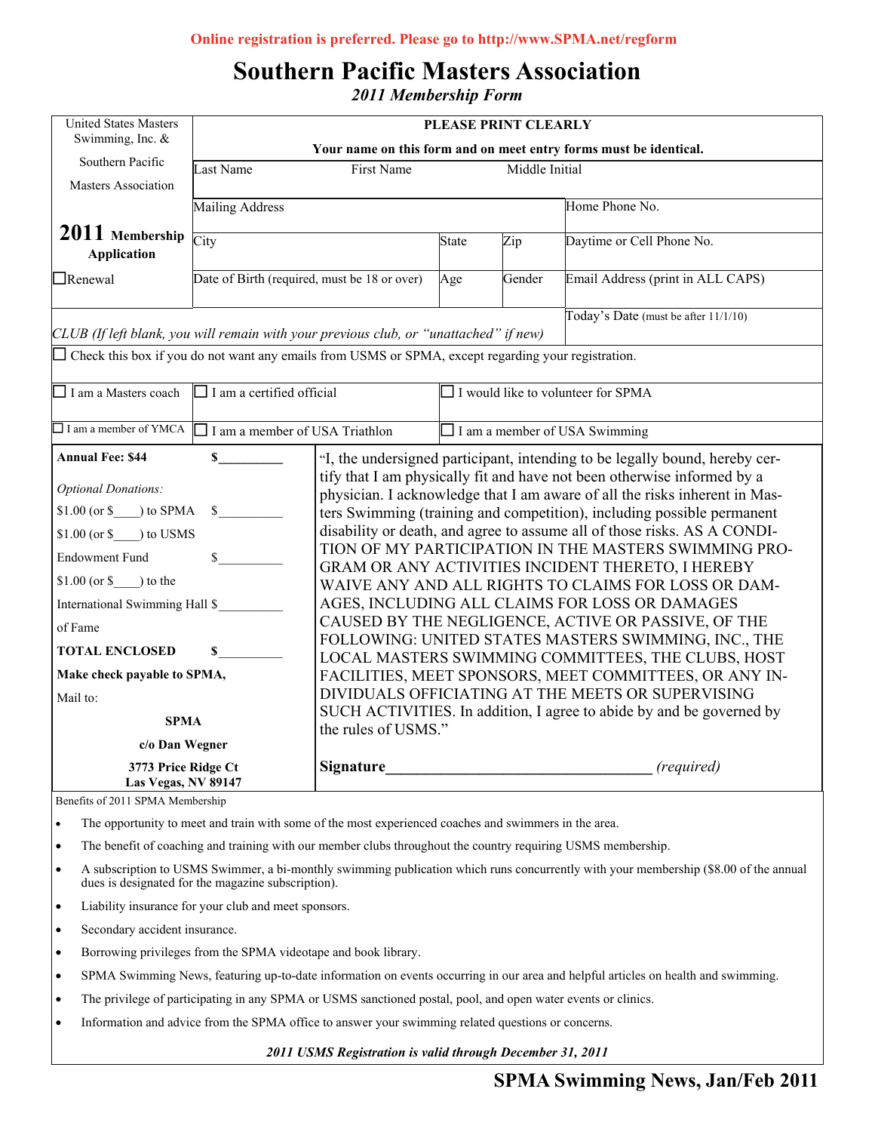# **Southern Pacific Masters Association**

*2011 Membership Form* 

| <b>United States Masters</b><br>Swimming, Inc. &                                                           | PLEASE PRINT CLEARLY                                              |                                                                                             |                                      |                                           |                                                                                                                                   |  |  |
|------------------------------------------------------------------------------------------------------------|-------------------------------------------------------------------|---------------------------------------------------------------------------------------------|--------------------------------------|-------------------------------------------|-----------------------------------------------------------------------------------------------------------------------------------|--|--|
|                                                                                                            | Your name on this form and on meet entry forms must be identical. |                                                                                             |                                      |                                           |                                                                                                                                   |  |  |
| Southern Pacific                                                                                           | <b>Last Name</b>                                                  | First Name                                                                                  |                                      | Middle Initial                            |                                                                                                                                   |  |  |
| Masters Association                                                                                        |                                                                   |                                                                                             |                                      |                                           |                                                                                                                                   |  |  |
|                                                                                                            | <b>Mailing Address</b>                                            |                                                                                             |                                      |                                           | Home Phone No.                                                                                                                    |  |  |
| 2011 Membership<br><b>Application</b>                                                                      | City                                                              |                                                                                             | <b>State</b>                         | Zip                                       | Daytime or Cell Phone No.                                                                                                         |  |  |
| $\Box$ Renewal                                                                                             | Date of Birth (required, must be 18 or over)<br>Age               |                                                                                             |                                      | Gender                                    | Email Address (print in ALL CAPS)                                                                                                 |  |  |
| CLUB (If left blank, you will remain with your previous club, or "unattached" if new)                      |                                                                   |                                                                                             |                                      |                                           | Today's Date (must be after 11/1/10)                                                                                              |  |  |
| $\Box$ Check this box if you do not want any emails from USMS or SPMA, except regarding your registration. |                                                                   |                                                                                             |                                      |                                           |                                                                                                                                   |  |  |
|                                                                                                            |                                                                   |                                                                                             |                                      |                                           |                                                                                                                                   |  |  |
| $\Box$ I am a Masters coach                                                                                | $\Box$ I am a certified official                                  |                                                                                             |                                      | $\Box$ I would like to volunteer for SPMA |                                                                                                                                   |  |  |
| I I am a member of YMCA                                                                                    | I am a member of USA Triathlon                                    |                                                                                             | $\Box$ I am a member of USA Swimming |                                           |                                                                                                                                   |  |  |
| <b>Annual Fee: \$44</b>                                                                                    | $\mathbf{s}$                                                      |                                                                                             |                                      |                                           | "I, the undersigned participant, intending to be legally bound, hereby cer-                                                       |  |  |
|                                                                                                            |                                                                   |                                                                                             |                                      |                                           | tify that I am physically fit and have not been otherwise informed by a                                                           |  |  |
| <b>Optional Donations:</b>                                                                                 |                                                                   |                                                                                             |                                      |                                           | physician. I acknowledge that I am aware of all the risks inherent in Mas-                                                        |  |  |
| $$1.00 (or $$ ) to SPMA                                                                                    | $\mathbb{S}$                                                      |                                                                                             |                                      |                                           | ters Swimming (training and competition), including possible permanent                                                            |  |  |
| $$1.00$ (or \$ ) to USMS                                                                                   |                                                                   |                                                                                             |                                      |                                           | disability or death, and agree to assume all of those risks. AS A CONDI-<br>TION OF MY PARTICIPATION IN THE MASTERS SWIMMING PRO- |  |  |
| <b>Endowment Fund</b>                                                                                      | $\mathbb{S}$                                                      |                                                                                             |                                      |                                           | GRAM OR ANY ACTIVITIES INCIDENT THERETO, I HEREBY                                                                                 |  |  |
| $$1.00 (or $$ ) to the                                                                                     |                                                                   |                                                                                             |                                      |                                           | WAIVE ANY AND ALL RIGHTS TO CLAIMS FOR LOSS OR DAM-                                                                               |  |  |
| International Swimming Hall \$                                                                             |                                                                   |                                                                                             |                                      |                                           | AGES, INCLUDING ALL CLAIMS FOR LOSS OR DAMAGES                                                                                    |  |  |
| of Fame                                                                                                    |                                                                   |                                                                                             |                                      |                                           | CAUSED BY THE NEGLIGENCE, ACTIVE OR PASSIVE, OF THE                                                                               |  |  |
|                                                                                                            |                                                                   |                                                                                             |                                      |                                           | FOLLOWING: UNITED STATES MASTERS SWIMMING, INC., THE                                                                              |  |  |
| <b>TOTAL ENCLOSED</b>                                                                                      | \$                                                                | LOCAL MASTERS SWIMMING COMMITTEES, THE CLUBS, HOST                                          |                                      |                                           |                                                                                                                                   |  |  |
| Make check payable to SPMA,                                                                                |                                                                   |                                                                                             |                                      |                                           | FACILITIES, MEET SPONSORS, MEET COMMITTEES, OR ANY IN-                                                                            |  |  |
| Mail to:                                                                                                   |                                                                   |                                                                                             |                                      |                                           | DIVIDUALS OFFICIATING AT THE MEETS OR SUPERVISING                                                                                 |  |  |
| <b>SPMA</b>                                                                                                |                                                                   | SUCH ACTIVITIES. In addition, I agree to abide by and be governed by<br>the rules of USMS." |                                      |                                           |                                                                                                                                   |  |  |
| c/o Dan Wegner                                                                                             |                                                                   |                                                                                             |                                      |                                           |                                                                                                                                   |  |  |
| 3773 Price Ridge Ct<br>Las Vegas, NV 89147                                                                 |                                                                   | <b>Signature</b>                                                                            |                                      |                                           | (required)                                                                                                                        |  |  |
| Benefits of 2011 SPMA Membership                                                                           |                                                                   |                                                                                             |                                      |                                           |                                                                                                                                   |  |  |

Benefits of 2011 SPMA Membership

The opportunity to meet and train with some of the most experienced coaches and swimmers in the area.

• The benefit of coaching and training with our member clubs throughout the country requiring USMS membership.

- It subscription to GBTE SWIMME, a or monthly swimming package. A subscription to USMS Swimmer, a bi-monthly swimming publication which runs concurrently with your membership (\$8.00 of the annual
- $\bullet$  Liability insurance for your club and meet sponsors.
- Think about your article and ask  $\mathcal{F}_{\mathcal{A}}$  is the picture supports if the picture supports if the picture supports if the picture supports if the picture supports if the picture supports in the picture supports in th • Secondary accident insurance.
- Borrowing privileges from the SPMA videotape and book library.
- SPMA Swimming News, featuring up-to-date information on events occurring in our area and helpful articles on health and swimming.  $\mathcal{C}$
- $w_1$  can consider a choose and import into  $y_1$ • The privilege of participating in any SPMA or USMS sanctioned postal, pool, and open water events or clinics.
- Information and advice from the SPMA office to answer your swimming related questions or concerns.

*2011 USMS Registration is valid through December 31, 2011*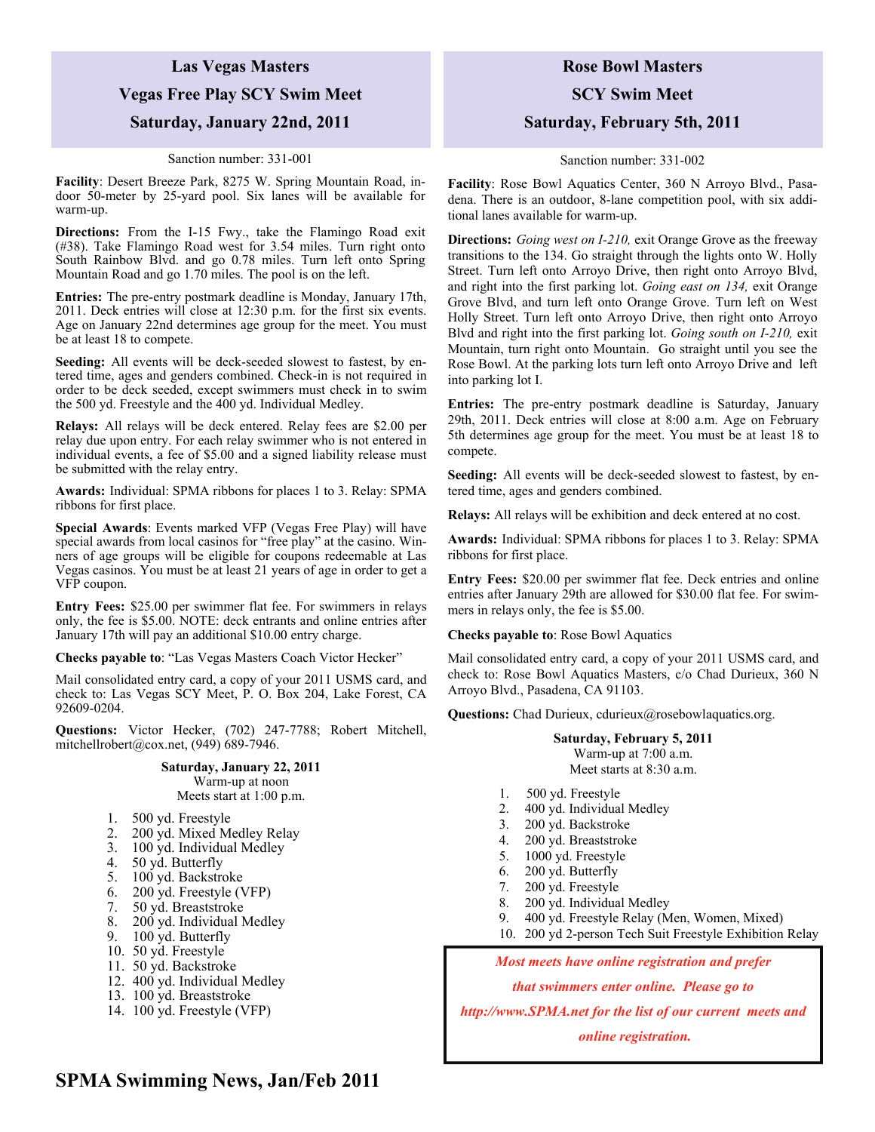## **Las Vegas Masters Vegas Free Play SCY Swim Meet Saturday, January 22nd, 2011**

#### Sanction number: 331-001

**Facility**: Desert Breeze Park, 8275 W. Spring Mountain Road, indoor 50-meter by 25-yard pool. Six lanes will be available for warm-up.

**Directions:** From the I-15 Fwy., take the Flamingo Road exit (#38). Take Flamingo Road west for 3.54 miles. Turn right onto South Rainbow Blvd. and go 0.78 miles. Turn left onto Spring Mountain Road and go 1.70 miles. The pool is on the left.

**Entries:** The pre-entry postmark deadline is Monday, January 17th, 2011. Deck entries will close at 12:30 p.m. for the first six events. Age on January 22nd determines age group for the meet. You must be at least 18 to compete.

**Seeding:** All events will be deck-seeded slowest to fastest, by entered time, ages and genders combined. Check-in is not required in order to be deck seeded, except swimmers must check in to swim the 500 yd. Freestyle and the 400 yd. Individual Medley.

**Relays:** All relays will be deck entered. Relay fees are \$2.00 per relay due upon entry. For each relay swimmer who is not entered in individual events, a fee of \$5.00 and a signed liability release must be submitted with the relay entry.

**Awards:** Individual: SPMA ribbons for places 1 to 3. Relay: SPMA ribbons for first place.

**Special Awards**: Events marked VFP (Vegas Free Play) will have special awards from local casinos for "free play" at the casino. Winners of age groups will be eligible for coupons redeemable at Las Vegas casinos. You must be at least 21 years of age in order to get a VFP coupon.

**Entry Fees:** \$25.00 per swimmer flat fee. For swimmers in relays only, the fee is \$5.00. NOTE: deck entrants and online entries after January 17th will pay an additional \$10.00 entry charge.

**Checks payable to**: "Las Vegas Masters Coach Victor Hecker"

Mail consolidated entry card, a copy of your 2011 USMS card, and check to: Las Vegas SCY Meet, P. O. Box 204, Lake Forest, CA 92609-0204.

**Questions:** Victor Hecker, (702) 247-7788; Robert Mitchell, mitchellrobert@cox.net, (949) 689-7946.

### **Saturday, January 22, 2011**  Warm-up at noon

Meets start at 1:00 p.m.

- 1. 500 yd. Freestyle
- 2. 200 yd. Mixed Medley Relay
- 3. 100 yd. Individual Medley
- 4. 50 yd. Butterfly
- 5. 100 yd. Backstroke
- 6. 200 yd. Freestyle (VFP)
- 7. 50 yd. Breaststroke
- 8. 200 yd. Individual Medley
- 9. 100 yd. Butterfly
- 10. 50 yd. Freestyle
- 11. 50 yd. Backstroke
- 12. 400 yd. Individual Medley
- 13. 100 yd. Breaststroke
- 14. 100 yd. Freestyle (VFP)

## **Rose Bowl Masters**

**SCY Swim Meet** 

### **Saturday, February 5th, 2011**

#### Sanction number: 331-002

**Facility**: Rose Bowl Aquatics Center, 360 N Arroyo Blvd., Pasadena. There is an outdoor, 8-lane competition pool, with six additional lanes available for warm-up.

**Directions:** *Going west on I-210,* exit Orange Grove as the freeway transitions to the 134. Go straight through the lights onto W. Holly Street. Turn left onto Arroyo Drive, then right onto Arroyo Blvd, and right into the first parking lot. *Going east on 134,* exit Orange Grove Blvd, and turn left onto Orange Grove. Turn left on West Holly Street. Turn left onto Arroyo Drive, then right onto Arroyo Blvd and right into the first parking lot. *Going south on I-210,* exit Mountain, turn right onto Mountain. Go straight until you see the Rose Bowl. At the parking lots turn left onto Arroyo Drive and left into parking lot I.

**Entries:** The pre-entry postmark deadline is Saturday, January 29th, 2011. Deck entries will close at 8:00 a.m. Age on February 5th determines age group for the meet. You must be at least 18 to compete.

**Seeding:** All events will be deck-seeded slowest to fastest, by entered time, ages and genders combined.

**Relays:** All relays will be exhibition and deck entered at no cost.

**Awards:** Individual: SPMA ribbons for places 1 to 3. Relay: SPMA ribbons for first place.

**Entry Fees:** \$20.00 per swimmer flat fee. Deck entries and online entries after January 29th are allowed for \$30.00 flat fee. For swimmers in relays only, the fee is \$5.00.

**Checks payable to**: Rose Bowl Aquatics

Mail consolidated entry card, a copy of your 2011 USMS card, and check to: Rose Bowl Aquatics Masters, c/o Chad Durieux, 360 N Arroyo Blvd., Pasadena, CA 91103.

**Questions:** Chad Durieux, cdurieux@rosebowlaquatics.org.

#### **Saturday, February 5, 2011**  Warm-up at 7:00 a.m. Meet starts at 8:30 a.m.

- 1. 500 yd. Freestyle
- 2. 400 yd. Individual Medley
- 3. 200 yd. Backstroke
- 4. 200 yd. Breaststroke
- 5. 1000 yd. Freestyle
- 6. 200 yd. Butterfly
- 7. 200 yd. Freestyle
- 8. 200 yd. Individual Medley
- 9. 400 yd. Freestyle Relay (Men, Women, Mixed)
- 10. 200 yd 2-person Tech Suit Freestyle Exhibition Relay

*Most meets have online registration and prefer* 

*that swimmers enter online. Please go to* 

*http://www.SPMA.net for the list of our current meets and* 

### **SPMA Swimming News, Jan/Feb 2011**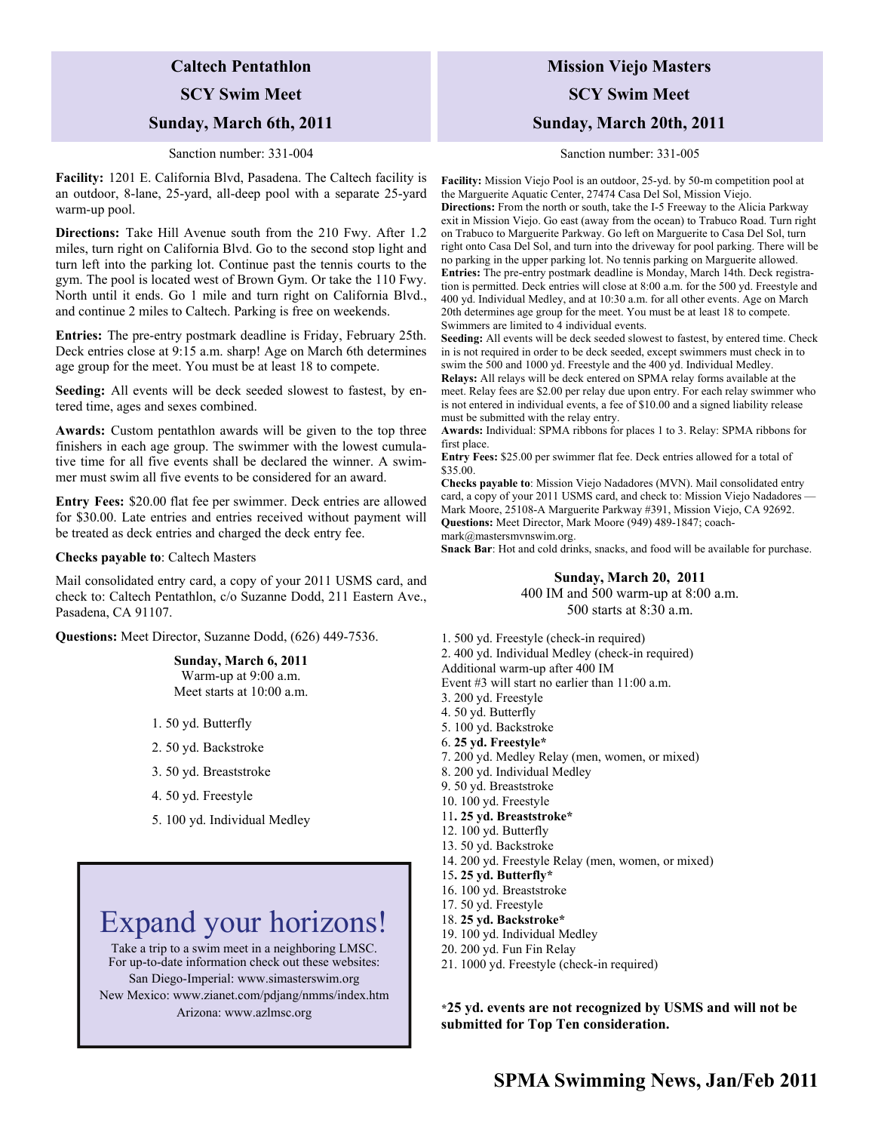### **Caltech Pentathlon**

### **SCY Swim Meet**

### **Sunday, March 6th, 2011**

#### Sanction number: 331-004

**Facility:** 1201 E. California Blvd, Pasadena. The Caltech facility is an outdoor, 8-lane, 25-yard, all-deep pool with a separate 25-yard warm-up pool.

**Directions:** Take Hill Avenue south from the 210 Fwy. After 1.2 miles, turn right on California Blvd. Go to the second stop light and turn left into the parking lot. Continue past the tennis courts to the gym. The pool is located west of Brown Gym. Or take the 110 Fwy. North until it ends. Go 1 mile and turn right on California Blvd., and continue 2 miles to Caltech. Parking is free on weekends.

**Entries:** The pre-entry postmark deadline is Friday, February 25th. Deck entries close at 9:15 a.m. sharp! Age on March 6th determines age group for the meet. You must be at least 18 to compete.

**Seeding:** All events will be deck seeded slowest to fastest, by entered time, ages and sexes combined.

**Awards:** Custom pentathlon awards will be given to the top three finishers in each age group. The swimmer with the lowest cumulative time for all five events shall be declared the winner. A swimmer must swim all five events to be considered for an award.

**Entry Fees:** \$20.00 flat fee per swimmer. Deck entries are allowed for \$30.00. Late entries and entries received without payment will be treated as deck entries and charged the deck entry fee.

#### **Checks payable to**: Caltech Masters

Mail consolidated entry card, a copy of your 2011 USMS card, and check to: Caltech Pentathlon, c/o Suzanne Dodd, 211 Eastern Ave., Pasadena, CA 91107.

**Questions:** Meet Director, Suzanne Dodd, (626) 449-7536.

**Sunday, March 6, 2011**  Warm-up at 9:00 a.m. Meet starts at 10:00 a.m.

- 1. 50 yd. Butterfly
- 2. 50 yd. Backstroke
- 3. 50 yd. Breaststroke
- 4. 50 yd. Freestyle
- 5. 100 yd. Individual Medley

# Expand your horizons!

Take a trip to a swim meet in a neighboring LMSC. For up-to-date information check out these websites: San Diego-Imperial: www.simasterswim.org New Mexico: www.zianet.com/pdjang/nmms/index.htm Arizona: www.azlmsc.org

## **Mission Viejo Masters SCY Swim Meet Sunday, March 20th, 2011**

#### Sanction number: 331-005

**Facility:** Mission Viejo Pool is an outdoor, 25-yd. by 50-m competition pool at the Marguerite Aquatic Center, 27474 Casa Del Sol, Mission Viejo. **Directions:** From the north or south, take the I-5 Freeway to the Alicia Parkway exit in Mission Viejo. Go east (away from the ocean) to Trabuco Road. Turn right on Trabuco to Marguerite Parkway. Go left on Marguerite to Casa Del Sol, turn right onto Casa Del Sol, and turn into the driveway for pool parking. There will be no parking in the upper parking lot. No tennis parking on Marguerite allowed. **Entries:** The pre-entry postmark deadline is Monday, March 14th. Deck registration is permitted. Deck entries will close at 8:00 a.m. for the 500 yd. Freestyle and 400 yd. Individual Medley, and at 10:30 a.m. for all other events. Age on March 20th determines age group for the meet. You must be at least 18 to compete. Swimmers are limited to 4 individual events.

**Seeding:** All events will be deck seeded slowest to fastest, by entered time. Check in is not required in order to be deck seeded, except swimmers must check in to swim the 500 and 1000 yd. Freestyle and the 400 yd. Individual Medley.

**Relays:** All relays will be deck entered on SPMA relay forms available at the meet. Relay fees are \$2.00 per relay due upon entry. For each relay swimmer who is not entered in individual events, a fee of \$10.00 and a signed liability release must be submitted with the relay entry.

**Awards:** Individual: SPMA ribbons for places 1 to 3. Relay: SPMA ribbons for first place.

**Entry Fees:** \$25.00 per swimmer flat fee. Deck entries allowed for a total of \$35.00.

**Checks payable to**: Mission Viejo Nadadores (MVN). Mail consolidated entry card, a copy of your 2011 USMS card, and check to: Mission Viejo Nadadores Mark Moore, 25108-A Marguerite Parkway #391, Mission Viejo, CA 92692. **Questions:** Meet Director, Mark Moore (949) 489-1847; coachmark@mastersmvnswim.org.

**Snack Bar**: Hot and cold drinks, snacks, and food will be available for purchase.

**Sunday, March 20, 2011**  400 IM and 500 warm-up at 8:00 a.m. 500 starts at 8:30 a.m.

1. 500 yd. Freestyle (check-in required) 2. 400 yd. Individual Medley (check-in required) Additional warm-up after 400 IM Event #3 will start no earlier than 11:00 a.m. 3. 200 yd. Freestyle 4. 50 yd. Butterfly 5. 100 yd. Backstroke 6. **25 yd. Freestyle\*** 7. 200 yd. Medley Relay (men, women, or mixed)

- 8. 200 yd. Individual Medley
- 9. 50 yd. Breaststroke
- 10. 100 yd. Freestyle
- 11**. 25 yd. Breaststroke\***
- 12. 100 yd. Butterfly
- 13. 50 yd. Backstroke
- 14. 200 yd. Freestyle Relay (men, women, or mixed)
- 15**. 25 yd. Butterfly\***
- 16. 100 yd. Breaststroke
- 17. 50 yd. Freestyle
- 18. **25 yd. Backstroke\***
- 19. 100 yd. Individual Medley
- 20. 200 yd. Fun Fin Relay
- 21. 1000 yd. Freestyle (check-in required)

**\*25 yd. events are not recognized by USMS and will not be submitted for Top Ten consideration.**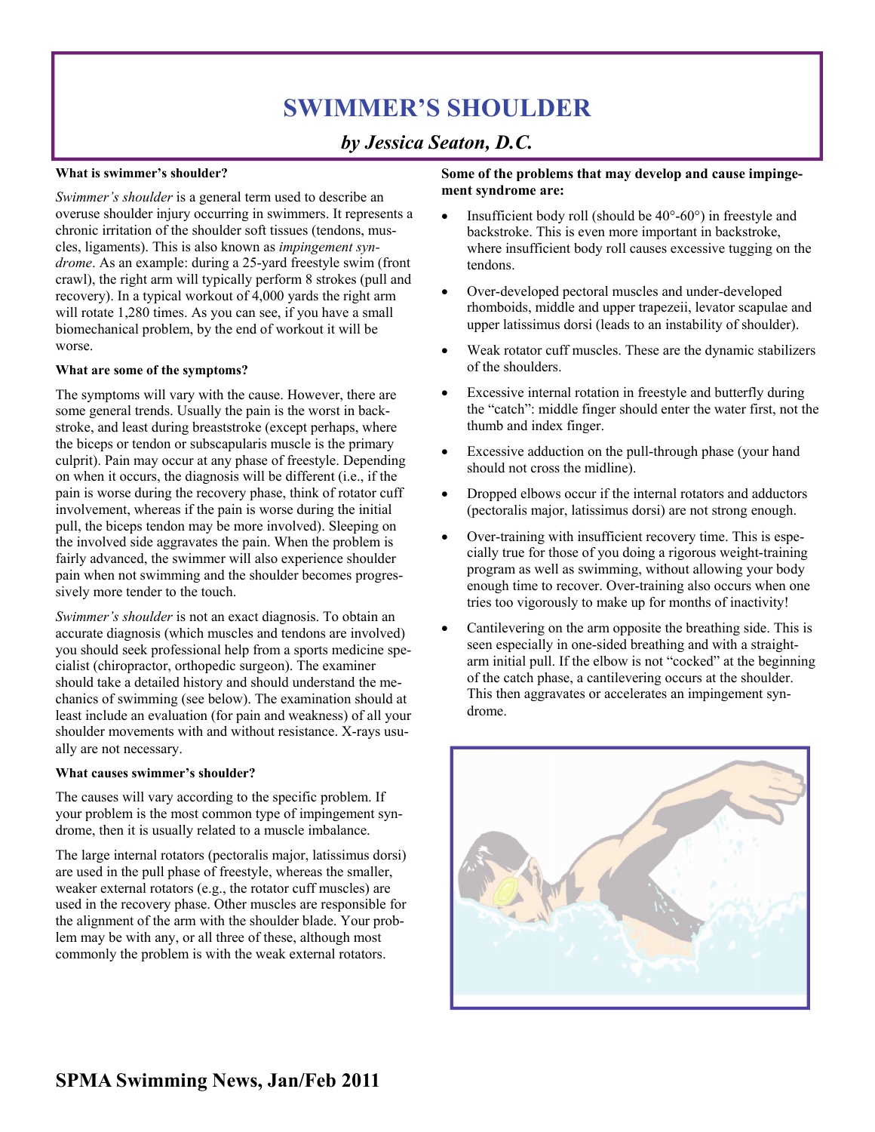# **SWIMMER'S SHOULDER**

## *by Jessica Seaton, D.C.*

### **What is swimmer's shoulder?**

*Swimmer's shoulder* is a general term used to describe an overuse shoulder injury occurring in swimmers. It represents a chronic irritation of the shoulder soft tissues (tendons, muscles, ligaments). This is also known as *impingement syndrome*. As an example: during a 25-yard freestyle swim (front crawl), the right arm will typically perform 8 strokes (pull and recovery). In a typical workout of 4,000 yards the right arm will rotate 1,280 times. As you can see, if you have a small biomechanical problem, by the end of workout it will be worse.

### **What are some of the symptoms?**

The symptoms will vary with the cause. However, there are some general trends. Usually the pain is the worst in backstroke, and least during breaststroke (except perhaps, where the biceps or tendon or subscapularis muscle is the primary culprit). Pain may occur at any phase of freestyle. Depending on when it occurs, the diagnosis will be different (i.e., if the pain is worse during the recovery phase, think of rotator cuff involvement, whereas if the pain is worse during the initial pull, the biceps tendon may be more involved). Sleeping on the involved side aggravates the pain. When the problem is fairly advanced, the swimmer will also experience shoulder pain when not swimming and the shoulder becomes progressively more tender to the touch.

*Swimmer's shoulder* is not an exact diagnosis. To obtain an accurate diagnosis (which muscles and tendons are involved) you should seek professional help from a sports medicine specialist (chiropractor, orthopedic surgeon). The examiner should take a detailed history and should understand the mechanics of swimming (see below). The examination should at least include an evaluation (for pain and weakness) of all your shoulder movements with and without resistance. X-rays usually are not necessary.

### **What causes swimmer's shoulder?**

The causes will vary according to the specific problem. If your problem is the most common type of impingement syndrome, then it is usually related to a muscle imbalance.

The large internal rotators (pectoralis major, latissimus dorsi) are used in the pull phase of freestyle, whereas the smaller, weaker external rotators (e.g., the rotator cuff muscles) are used in the recovery phase. Other muscles are responsible for the alignment of the arm with the shoulder blade. Your problem may be with any, or all three of these, although most commonly the problem is with the weak external rotators.

### **Some of the problems that may develop and cause impingement syndrome are:**

- Insufficient body roll (should be 40°-60°) in freestyle and backstroke. This is even more important in backstroke, where insufficient body roll causes excessive tugging on the tendons.
- Over-developed pectoral muscles and under-developed rhomboids, middle and upper trapezeii, levator scapulae and upper latissimus dorsi (leads to an instability of shoulder).
- Weak rotator cuff muscles. These are the dynamic stabilizers of the shoulders.
- Excessive internal rotation in freestyle and butterfly during the "catch": middle finger should enter the water first, not the thumb and index finger.
- Excessive adduction on the pull-through phase (your hand should not cross the midline).
- Dropped elbows occur if the internal rotators and adductors (pectoralis major, latissimus dorsi) are not strong enough.
- Over-training with insufficient recovery time. This is especially true for those of you doing a rigorous weight-training program as well as swimming, without allowing your body enough time to recover. Over-training also occurs when one tries too vigorously to make up for months of inactivity!
- Cantilevering on the arm opposite the breathing side. This is seen especially in one-sided breathing and with a straightarm initial pull. If the elbow is not "cocked" at the beginning of the catch phase, a cantilevering occurs at the shoulder. This then aggravates or accelerates an impingement syndrome.

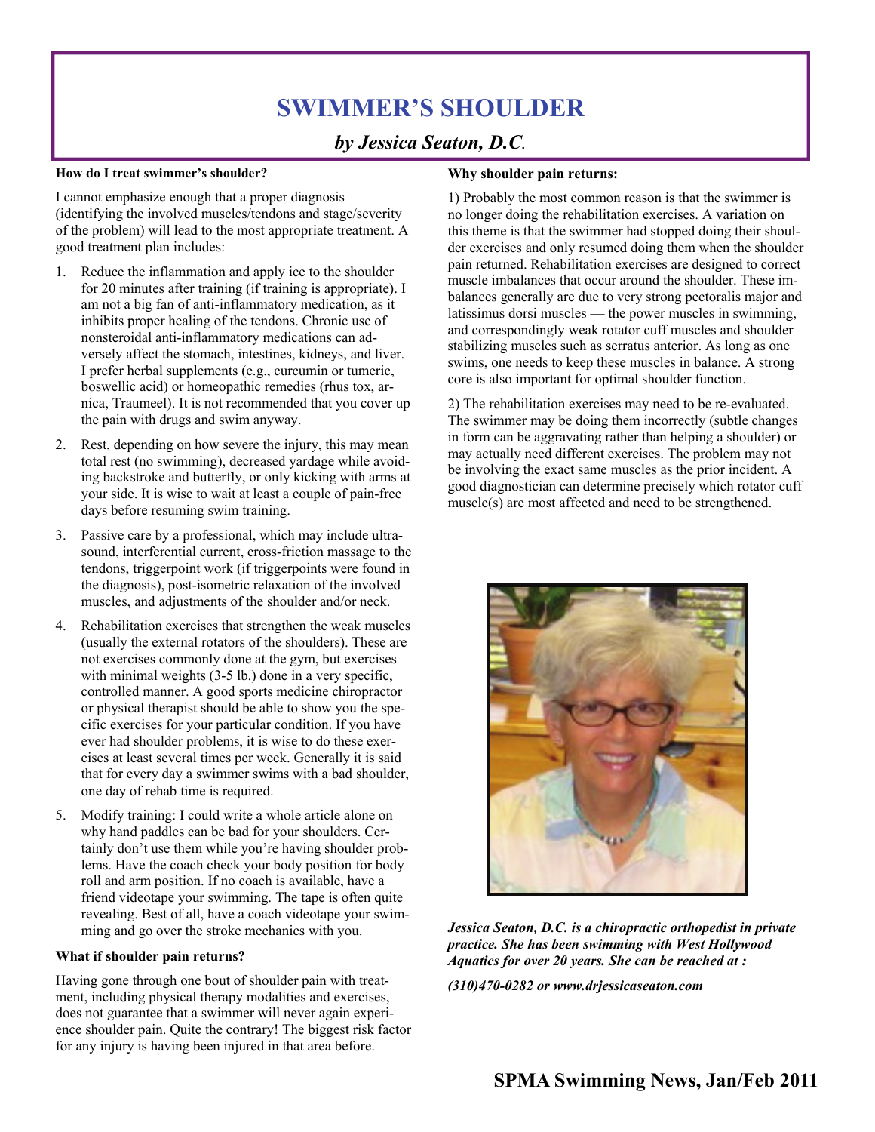# **SWIMMER'S SHOULDER**

## *by Jessica Seaton, D.C.*

### **How do I treat swimmer's shoulder?**

I cannot emphasize enough that a proper diagnosis (identifying the involved muscles/tendons and stage/severity of the problem) will lead to the most appropriate treatment. A good treatment plan includes:

- 1. Reduce the inflammation and apply ice to the shoulder for 20 minutes after training (if training is appropriate). I am not a big fan of anti-inflammatory medication, as it inhibits proper healing of the tendons. Chronic use of nonsteroidal anti-inflammatory medications can adversely affect the stomach, intestines, kidneys, and liver. I prefer herbal supplements (e.g., curcumin or tumeric, boswellic acid) or homeopathic remedies (rhus tox, arnica, Traumeel). It is not recommended that you cover up the pain with drugs and swim anyway.
- 2. Rest, depending on how severe the injury, this may mean total rest (no swimming), decreased yardage while avoiding backstroke and butterfly, or only kicking with arms at your side. It is wise to wait at least a couple of pain-free days before resuming swim training.
- 3. Passive care by a professional, which may include ultrasound, interferential current, cross-friction massage to the tendons, triggerpoint work (if triggerpoints were found in the diagnosis), post-isometric relaxation of the involved muscles, and adjustments of the shoulder and/or neck.
- 4. Rehabilitation exercises that strengthen the weak muscles (usually the external rotators of the shoulders). These are not exercises commonly done at the gym, but exercises with minimal weights (3-5 lb.) done in a very specific, controlled manner. A good sports medicine chiropractor or physical therapist should be able to show you the specific exercises for your particular condition. If you have ever had shoulder problems, it is wise to do these exercises at least several times per week. Generally it is said that for every day a swimmer swims with a bad shoulder, one day of rehab time is required.
- 5. Modify training: I could write a whole article alone on why hand paddles can be bad for your shoulders. Certainly don't use them while you're having shoulder problems. Have the coach check your body position for body roll and arm position. If no coach is available, have a friend videotape your swimming. The tape is often quite revealing. Best of all, have a coach videotape your swimming and go over the stroke mechanics with you.

### **What if shoulder pain returns?**

Having gone through one bout of shoulder pain with treatment, including physical therapy modalities and exercises, does not guarantee that a swimmer will never again experience shoulder pain. Quite the contrary! The biggest risk factor for any injury is having been injured in that area before.

### **Why shoulder pain returns:**

1) Probably the most common reason is that the swimmer is no longer doing the rehabilitation exercises. A variation on this theme is that the swimmer had stopped doing their shoulder exercises and only resumed doing them when the shoulder pain returned. Rehabilitation exercises are designed to correct muscle imbalances that occur around the shoulder. These imbalances generally are due to very strong pectoralis major and latissimus dorsi muscles — the power muscles in swimming, and correspondingly weak rotator cuff muscles and shoulder stabilizing muscles such as serratus anterior. As long as one swims, one needs to keep these muscles in balance. A strong core is also important for optimal shoulder function.

2) The rehabilitation exercises may need to be re-evaluated. The swimmer may be doing them incorrectly (subtle changes in form can be aggravating rather than helping a shoulder) or may actually need different exercises. The problem may not be involving the exact same muscles as the prior incident. A good diagnostician can determine precisely which rotator cuff muscle(s) are most affected and need to be strengthened.



*Jessica Seaton, D.C. is a chiropractic orthopedist in private practice. She has been swimming with West Hollywood Aquatics for over 20 years. She can be reached at :* 

*(310)470-0282 or www.drjessicaseaton.com*